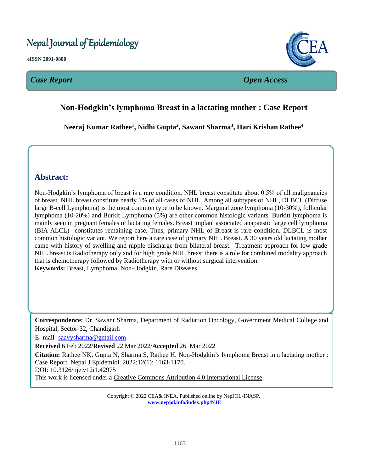# Nepal Journal of Epidemiology

**eISSN 2091-0800**

# *Case Report Open Access*



# **Non-Hodgkin's lymphoma Breast in a lactating mother : Case Report**  $\overline{a}$

**Neeraj Kumar Rathee<sup>1</sup> , Nidhi Gupta<sup>2</sup> , Sawant Sharma<sup>3</sup> , Hari Krishan Rathee<sup>4</sup>**

l.

# **Abstract:**

Non-Hodgkin's lymphoma of breast is a rare condition. NHL breast constitute about 0.5% of all malignancies of breast. NHL breast constitute nearly 1% of all cases of NHL. Among all subtypes of NHL, DLBCL (Diffuse large B-cell Lymphoma) is the most common type to be known. Marginal zone lymphoma (10-30%), follicular lymphoma (10-20%) and Burkit Lymphoma (5%) are other common histologic variants. Burkitt lymphoma is mainly seen in pregnant females or lactating females. Breast implant associated anapaestic large cell lymphoma (BIA-ALCL) constitutes remaining case. Thus, primary NHL of Breast is rare condition. DLBCL is most common histologic variant. We report here a rare case of primary NHL Breast. A 30 years old lactating mother came with history of swelling and nipple discharge from bilateral breast. -Treatment approach for low grade NHL breast is Radiotherapy only and for high grade NHL breast there is a role for combined modality approach that is chemotherapy followed by Radiotherapy with or without surgical intervention. **Keywords:** Breast, Lymphoma, Non-Hodgkin, Rare Diseases

**Correspondence:** Dr. Sawant Sharma, Department of Radiation Oncology, Government Medical College and Hospital, Sector-32, Chandigarh

E- mail- [saavysharma@gmail.com](mailto:saavysharma@gmail.com)

**Received** 6 Feb 2022/**Revised** 22 Mar 2022/**Accepted** 26 Mar 2022

**Citation:** Rathee NK, Gupta N, Sharma S, Rathee H. Non-Hodgkin's lymphoma Breast in a lactating mother : Case Report. Nepal J Epidemiol. 2022;12(1): 1163-1170.

DOI: 10.3126/nje.v12i1.42975

This work is licensed under a [Creative Commons Attribution 4.0 International License.](http://creativecommons.org/licenses/by/4.0/)

Copyright © 2022 CEA& INEA. Published online by NepJOL-INASP. **[www.nepjol.info/index.php/NJE](http://www.nepjol.info/index.php/NJE)**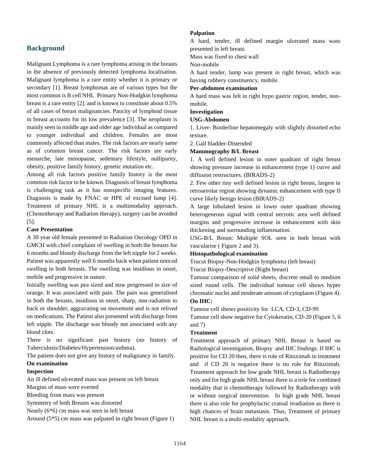# **Background**

Malignant Lymphoma is a rare lymphoma arising in the breasts in the absence of previously detected lymphoma localisation. Malignant lymphoma is a rare entity whether it is primary or secondary [1]. Breast lymphomas are of various types but the most common is B cell NHL Primary Non-Hodgkin lymphoma breast is a rare entity [2]. and is known to constitute about 0.5% of all cases of breast malignancies. Paucity of lymphoid tissue in breast accounts for its low prevalence [3]. The neoplasm is mainly seen in middle age and older age individual as compared to younger individual and children. Females are most commonly affected than males. The risk factors are nearly same as of common breast cancer. The risk factors are early menarche, late menopause, sedentary lifestyle, nulliparity, obesity, positive family history, genetic mutation etc.

Among all risk factors positive family history is the most common risk factor to be known. Diagnosis of breast lymphoma is challenging task as it has nonspecific imaging features. Diagnosis is made by FNAC or HPE of excised lump [4]. Treatment of primary NHL is a multimodality approach. (Chemotherapy and Radiation therapy), surgery can be avoided [5].

### **Case Presentation**

A 30 year old female presented in Radiation Oncology OPD in GMCH with chief complaint of swelling in both the breasts for 6 months and bloody discharge from the left nipple for 2 weeks. Patient was apparently well 6 months back when patient noticed swelling in both breasts. The swelling was insidious in onset, mobile and progressive in nature.

Initially swelling was pea sized and now progressed to size of orange. It was associated with pain. The pain was generalised in both the breasts, insidious in onset, sharp, non-radiation to back or shoulder, aggravating on movement and is not relived on medications. The Patient also presented with discharge from left nipple. The discharge was bloody not associated with any blood clots.

There is no significant past history (no history of Tuberculosis/Diabetes/Hypertension/asthma).

The patient does not give any history of malignancy in family. **On examination**

# **Inspection**

An ill defined ulcerated mass was present on left breast

Margins of mass were everted

Bleeding from mass was present

Symmetry of both Breasts was distorted

Nearly (6\*6) cm mass was seen in left breast

Around (5\*5) cm mass was palpated in right breast (Figure 1)

#### **Palpation**

A hard, tender, ill defined margin ulcerated mass wass presented in left breast.

Mass was fixed to chest wall

Non-mobile

A hard tender, lump was present in right breast, which was having rubbery constituency, mobile.

# **Per-abdomen examination**

A hard mass was felt in right hypo gastric region, tender, nonmobile.

#### **Investigation**

# **USG-Abdomen**

1. Liver- Borderline hepatomegaly with slightly distorted echo texture.

2. Gall bladder-Distended

#### **Mammography B/L Breast**

1. A well defined lesion in outer quadrant of right breast showing pressure increase in enhancement (type 1) curve and diffusion restructures. (BIRADS-2)

2. Few other tiny well defined lesion in right breast, largest in retroareolar region showing dynamic enhancement with type II curve likely benign lesion (BIRADS-2)

A large lobulated lesion in lower outer quadrant showing heterogeneous signal with central necrotic area well defined margins and progressive increase in enhancement with skin thickening and surrounding inflammation.

USG-B/L Breast: Multiple SOL seen in both breast with vascularise ( Figure 2 and 3).

#### **Histopathological examination**

Trucut Biopsy-Non-Hodgkin lymphoma (left breast)

Trucut Biopsy-Descriptive (Right breast)

Tumour comparison of solid sheets, discrete small to medium sized round cells. The individual tumour cell shows hyper chromatic nuclei and moderate amount of cytoplasm (Figure 4).

# **On IHC:**

Tumour cell shows positivity for LCA, CD-3, CD-99

Tumour cell show negative for Cytokeratin, CD-20 (Figure 5, 6 and 7)

#### **Treatment**

Treatment approach of primary NHL Breast is based on Radiological investigation, Biopsy and IHC findings. If IHC is positive for CD 20 then, there is role of Rituximab in treatment and if CD 20 is negative there is no role for Rituximab. Treatment approach for low grade NHL breast is Radiotherapy only and for high grade NHL breast there is a role for combined modality that is chemotherapy followed by Radiotherapy with or without surgical intervention. In high grade NHL breast there is also role for prophylactic cranial irradiation as there is high chances of brain metastasis. Thus, Treatment of primary NHL breast is a multi-modality approach.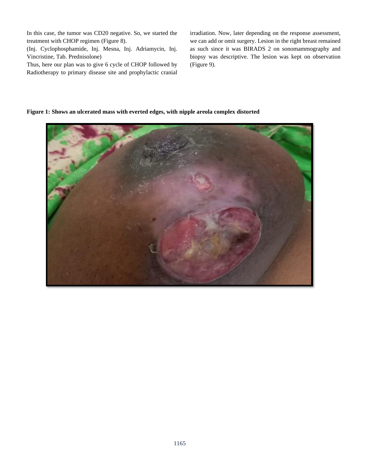In this case, the tumor was CD20 negative. So, we started the treatment with CHOP regimen (Figure 8).

(Inj. Cyclophosphamide, Inj. Mesna, Inj. Adriamycin, Inj. Vincristine, Tab. Prednisolone)

Thus, here our plan was to give 6 cycle of CHOP followed by Radiotherapy to primary disease site and prophylactic cranial irradiation. Now, later depending on the response assessment, we can add or omit surgery. Lesion in the right breast remained as such since it was BIRADS 2 on sonomammography and biopsy was descriptive. The lesion was kept on observation (Figure 9).

# **Figure 1: Shows an ulcerated mass with everted edges, with nipple areola complex distorted**

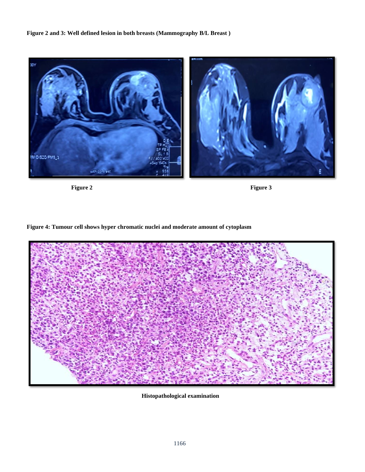# **Figure 2 and 3: Well defined lesion in both breasts (Mammography B/L Breast )**





**Figure 4: Tumour cell shows hyper chromatic nuclei and moderate amount of cytoplasm**



 **Histopathological examination**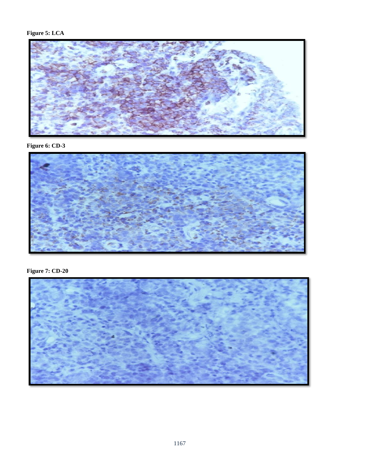

**Figure 6: CD-3**



**Figure 7: CD-20**

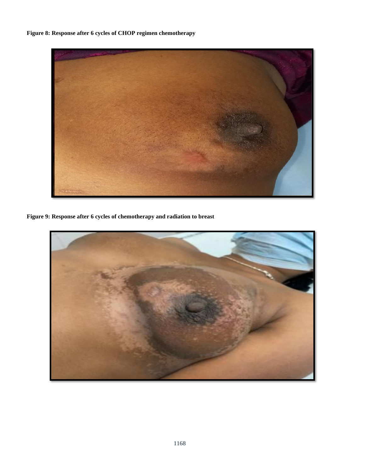**Figure 8: Response after 6 cycles of CHOP regimen chemotherapy**



**Figure 9: Response after 6 cycles of chemotherapy and radiation to breast**

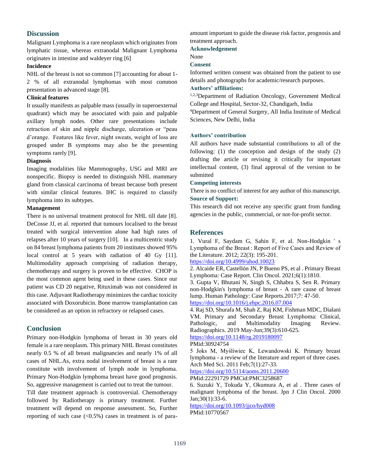# **Discussion**

Malignant Lymphoma is a rare neoplasm which originates from lymphatic tissue, whereas extranodal Malignant Lymphoma originates in intestine and waldeyer ring [6]

# **Incidence**

NHL of the breast is not so common [7] accounting for about 1- 2 % of all extranodal lymphomas with most common presentation in advanced stage [8].

# **Clinical features**

It usually manifests as palpable mass (usually in superoexternal quadrant) which may be associated with pain and palpable axillary lymph nodes. Other rare presentations include retraction of skin and nipple discharge, ulceration or "peau d'orange. Features like fever, night sweats, weight of loss are grouped under B symptoms may also be the presenting symptoms rarely [9].

# **Diagnosis**

Imaging modalities like Mammography, USG and MRI are nonspecific. Biopsy is needed to distinguish NHL mammary gland from classical carcinoma of breast because both present with similar clinical features. IHC is required to classify lymphoma into its subtypes.

### **Management**

There is no universal treatment protocol for NHL till date [8]. DeCosse JJ, et al. reported that tumours localised to the breast treated with surgical intervention alone had high rates of relapses after 10 years of surgery [10]. In a multicentric study on 84 breast lymphoma patients from 20 institutes showed 95% local control at 5 years with radiation of 40 Gy [11]. Multimodality approach comprising of radiation therapy, chemotherapy and surgery is proven to be effective. CHOP is the most common agent being used in these cases. Since our patient was CD 20 negative, Rituximab was not considered in this case. Adjuvant Radiotherapy minimizes the cardiac toxicity associated with Doxorubicin. Bone marrow transplantation can be considered as an option in refractory or relapsed cases.

# **Conclusion**

Primary non-Hodgkin lymphoma of breast in 30 years old female is a rare neoplasm. This primary NHL Breast constitutes nearly 0.5 % of all breast malignancies and nearly 1% of all cases of NHL.As, extra nodal involvement of breast is a rare constitute with involvement of lymph node in lymphoma. Primary Non-Hodgkin lymphoma breast have good prognosis. So, aggressive management is carried out to treat the tumour.

Till date treatment approach is controversial. Chemotherapy followed by Radiotherapy is primary treatment. Further treatment will depend on response assessment. So, Further reporting of such case  $( $0.5\%$ ) cases in treatment is of para-$  amount important to guide the disease risk factor, prognosis and treatment approach.

**Acknowledgement**

None

### **Consent**

Informed written consent was obtained from the patient to use details and photographs for academic/research purposes.

# **Authors' affiliations:**

1,2,3Department of Radiation Oncology, Government Medical College and Hospital, Sector-32, Chandigarh, India

<sup>4</sup>Department of General Surgery, All India Institute of Medical Sciences, New Delhi, India

### **Authors' contribution**

All authors have made substantial contributions to all of the following: (1) the conception and design of the study (2) drafting the article or revising it critically for important intellectual content, (3) final approval of the version to be submitted

### **Competing interests**

There is no conflict of interest for any author of this manuscript. **Source of Support:**

This research did not receive any specific grant from funding agencies in the public, commercial, or not-for-profit sector.

# **References**

1. Vural F, Saydam G, Sahin F, et al. Non-Hodgkin ' s Lymphoma of the Breast : Report of Five Cases and Review of the Literature. 2012; 22(3): 195-201.

<https://doi.org/10.4999/uhod.10023>

2. Alcaide ER, Castellón JN, P Bueno PS, et al . Primary Breast Lymphoma: Case Report. Clin Oncol. 2021;6(1):1810.

3. Gupta V, Bhutani N, Singh S, Chhabra S, Sen R. Primary non-Hodgkin's lymphoma of breast - A rare cause of breast lump. Human Pathology: Case Reports.2017;7: 47-50. <https://doi.org/10.1016/j.ehpc.2016.07.004>

4. Raj SD, Shurafa M, Shah Z, Raj KM, Fishman MDC, Dialani VM. Primary and Secondary Breast Lymphoma: Clinical, Pathologic, and Multimodality Imaging Review. Radiographics. 2019 May-Jun;39(3):610-625.

<https://doi.org/10.1148/rg.2019180097>

#### PMid:30924754

5 Joks M, Myśliwiec K, Lewandowski K. Primary breast lymphoma - a review of the literature and report of three cases. Arch Med Sci. 2011 Feb;7(1):27-33.

```
https://doi.org/10.5114/aoms.2011.20600
```
PMid:22291729 PMCid:PMC3258687

6. Suzuki Y, Tokuda Y, Okumura A, et al . Three cases of malignant lymphoma of the breast. Jpn J Clin Oncol. 2000 Jan;30(1):33-6.

<https://doi.org/10.1093/jjco/hyd008> PMid:10770567